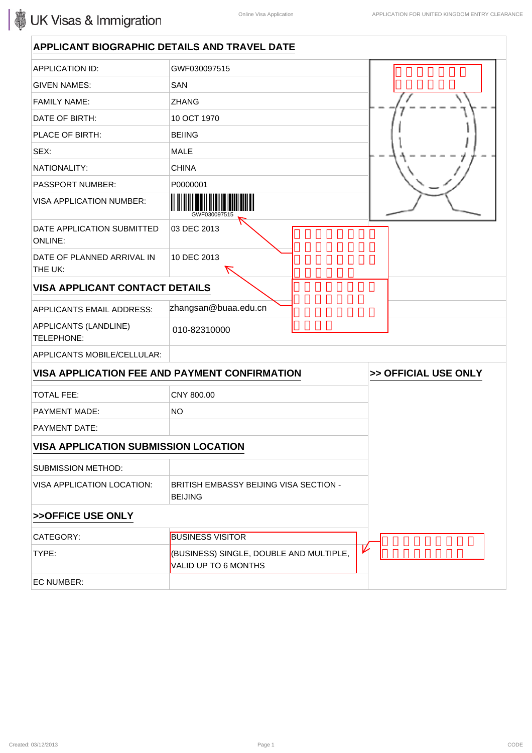| <b>APPLICANT BIOGRAPHIC DETAILS AND TRAVEL DATE</b> |                                                                 |                      |
|-----------------------------------------------------|-----------------------------------------------------------------|----------------------|
| <b>APPLICATION ID:</b>                              | GWF030097515                                                    |                      |
| <b>GIVEN NAMES:</b>                                 | <b>SAN</b>                                                      |                      |
| <b>FAMILY NAME:</b>                                 | <b>ZHANG</b>                                                    |                      |
| DATE OF BIRTH:                                      | 10 OCT 1970                                                     |                      |
| PLACE OF BIRTH:                                     | <b>BEIING</b>                                                   |                      |
| SEX:                                                | <b>MALE</b>                                                     |                      |
| NATIONALITY:                                        | <b>CHINA</b>                                                    |                      |
| <b>PASSPORT NUMBER:</b>                             | P0000001                                                        |                      |
| <b>VISA APPLICATION NUMBER:</b>                     |                                                                 |                      |
| DATE APPLICATION SUBMITTED<br><b>ONLINE:</b>        | 03 DEC 2013                                                     |                      |
| DATE OF PLANNED ARRIVAL IN<br>THE UK:               | 10 DEC 2013                                                     |                      |
| <b>VISA APPLICANT CONTACT DETAILS</b>               |                                                                 |                      |
| <b>APPLICANTS EMAIL ADDRESS:</b>                    | zhangsan@buaa.edu.cn                                            |                      |
| APPLICANTS (LANDLINE)<br>TELEPHONE:                 | 010-82310000                                                    |                      |
| APPLICANTS MOBILE/CELLULAR:                         |                                                                 |                      |
|                                                     | VISA APPLICATION FEE AND PAYMENT CONFIRMATION                   | >> OFFICIAL USE ONLY |
| <b>TOTAL FEE:</b>                                   | CNY 800.00                                                      |                      |
| <b>PAYMENT MADE:</b>                                | <b>NO</b>                                                       |                      |
| PAYMENT DATE:                                       |                                                                 |                      |
| <b>VISA APPLICATION SUBMISSION LOCATION</b>         |                                                                 |                      |
| <b>SUBMISSION METHOD:</b>                           |                                                                 |                      |
| VISA APPLICATION LOCATION:                          | BRITISH EMBASSY BEIJING VISA SECTION -<br><b>BEIJING</b>        |                      |
| >>OFFICE USE ONLY                                   |                                                                 |                      |
| CATEGORY:                                           | <b>BUSINESS VISITOR</b>                                         |                      |
| TYPE:                                               | (BUSINESS) SINGLE, DOUBLE AND MULTIPLE,<br>VALID UP TO 6 MONTHS | V                    |
| EC NUMBER:                                          |                                                                 |                      |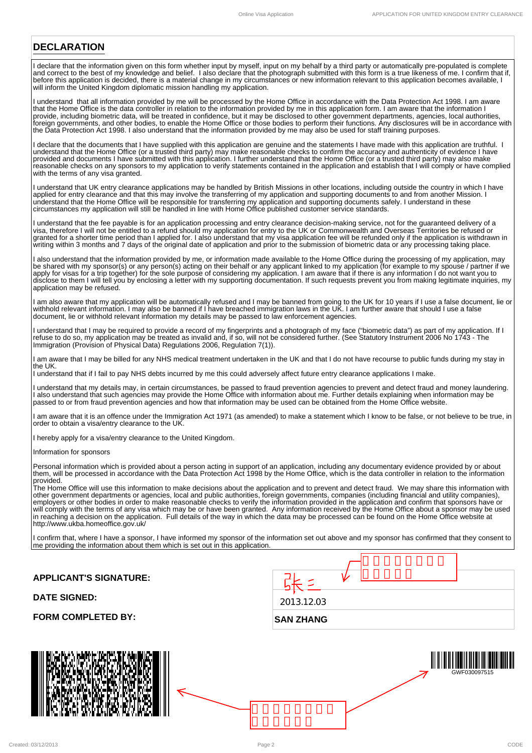### **DECLARATION**

I declare that the information given on this form whether input by myself, input on my behalf by a third party or automatically pre-populated is complete and correct to the best of my knowledge and belief. I also declare that the photograph submitted with this form is a true likeness of me. I confirm that if, before this application is decided, there is a material change in my circumstances or new information relevant to this application becomes available, I will inform the United Kingdom diplomatic mission handling my application.

I understand that all information provided by me will be processed by the Home Office in accordance with the Data Protection Act 1998. I am aware that the Home Office is the data controller in relation to the information provided by me in this application form. I am aware that the information I provide, including biometric data, will be treated in confidence, but it may be disclosed to other government departments, agencies, local authorities, foreign governments, and other bodies, to enable the Home Office or those bodies to perform their functions. Any disclosures will be in accordance with the Data Protection Act 1998. I also understand that the information provided by me may also be used for staff training purposes.

I declare that the documents that I have supplied with this application are genuine and the statements I have made with this application are truthful. I understand that the Home Office (or a trusted third party) may make reasonable checks to confirm the accuracy and authenticity of evidence I have provided and documents I have submitted with this application. I further understand that the Home Office (or a trusted third party) may also make reasonable checks on any sponsors to my application to verify statements contained in the application and establish that I will comply or have complied with the terms of any visa granted.

I understand that UK entry clearance applications may be handled by British Missions in other locations, including outside the country in which I have applied for entry clearance and that this may involve the transferring of my application and supporting documents to and from another Mission. I understand that the Home Office will be responsible for transferring my application and supporting documents safely. I understand in these circumstances my application will still be handled in line with Home Office published customer service standards.

I understand that the fee payable is for an application processing and entry clearance decision-making service, not for the guaranteed delivery of a visa, therefore I will not be entitled to a refund should my application for entry to the UK or Commonwealth and Overseas Territories be refused or granted for a shorter time period than I applied for. I also understand that my visa application fee will be refunded only if the application is withdrawn in writing within 3 months and 7 days of the original date of application and prior to the submission of biometric data or any processing taking place.

I also understand that the information provided by me, or information made available to the Home Office during the processing of my application, may be shared with my sponsor(s) or any person(s) acting on their behalf or any applicant linked to my application (for example to my spouse / partner if we apply for visas for a trip together) for the sole purpose of considering my application. I am aware that if there is any information I do not want you to disclose to them I will tell you by enclosing a letter with my supporting documentation. If such requests prevent you from making legitimate inquiries, my application may be refused.

I am also aware that my application will be automatically refused and I may be banned from going to the UK for 10 years if I use a false document, lie or withhold relevant information. I may also be banned if I have breached immigration laws in the UK. I am further aware that should I use a false document, lie or withhold relevant information my details may be passed to law enforcement agencies.

I understand that I may be required to provide a record of my fingerprints and a photograph of my face ("biometric data") as part of my application. If I refuse to do so, my application may be treated as invalid and, if so, will not be considered further. (See Statutory Instrument 2006 No 1743 - The Immigration (Provision of Physical Data) Regulations 2006, Regulation 7(1)).

I am aware that I may be billed for any NHS medical treatment undertaken in the UK and that I do not have recourse to public funds during my stay in the UK.

I understand that if I fail to pay NHS debts incurred by me this could adversely affect future entry clearance applications I make.

I understand that my details may, in certain circumstances, be passed to fraud prevention agencies to prevent and detect fraud and money laundering. I also understand that such agencies may provide the Home Office with information about me. Further details explaining when information may be passed to or from fraud prevention agencies and how that information may be used can be obtained from the Home Office website.

I am aware that it is an offence under the Immigration Act 1971 (as amended) to make a statement which I know to be false, or not believe to be true, in order to obtain a visa/entry clearance to the UK.

I hereby apply for a visa/entry clearance to the United Kingdom.

Information for sponsors

Personal information which is provided about a person acting in support of an application, including any documentary evidence provided by or about them, will be processed in accordance with the Data Protection Act 1998 by the Home Office, which is the data controller in relation to the information provided.

The Home Office will use this information to make decisions about the application and to prevent and detect fraud. We may share this information with other government departments or agencies, local and public authorities, foreign governments, companies (including financial and utility companies), employers or other bodies in order to make reasonable checks to verify the information provided in the application and confirm that sponsors have or will comply with the terms of any visa which may be or have been granted. Any information received by the Home Office about a sponsor may be used in reaching a decision on the application. Full details of the way in which the data may be processed can be found on the Home Office website at http://www.ukba.homeoffice.gov.uk/

I confirm that, where I have a sponsor, I have informed my sponsor of the information set out above and my sponsor has confirmed that they consent to me providing the information about them which is set out in this application.

**APPLICANT'S SIGNATURE:**

**FORM COMPLETED BY:** 

**DATE SIGNED:**

| <b>SAN ZHANG</b> |  |  |  |
|------------------|--|--|--|
| 2013.12.03       |  |  |  |
|                  |  |  |  |
|                  |  |  |  |



GWF030097515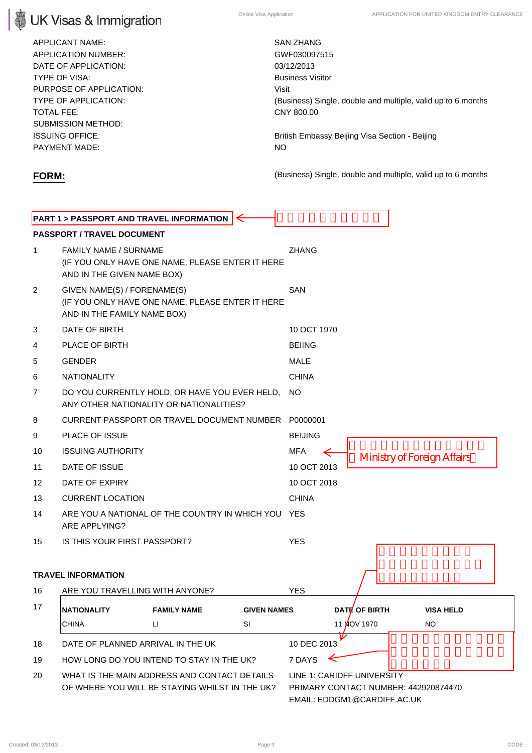# **UK Visas & Immigration**

APPLICANT NAME: SAN ZHANG APPLICATION NUMBER: GWF030097515 DATE OF APPLICATION: 03/12/2013 **TYPE OF VISA:** Business Visitor CONSISTENT AND TYPE OF VISA: PURPOSE OF APPLICATION: Visit TOTAL FEE: CNY 800.00 SUBMISSION METHOD: PAYMENT MADE: NO

TYPE OF APPLICATION: (Business) Single, double and multiple, valid up to 6 months

ISSUING OFFICE: British Embassy Beijing Visa Section - Beijing

**FORM:** (Business) Single, double and multiple, valid up to 6 months

## **PART 1 > PASSPORT AND TRAVEL INFORMATION PASSPORT / TRAVEL DOCUMENT** 1 FAMILY NAME / SURNAME ZHANG (IF YOU ONLY HAVE ONE NAME, PLEASE ENTER IT HERE AND IN THE GIVEN NAME BOX) 2 GIVEN NAME(S) / FORENAME(S) **SAN** (IF YOU ONLY HAVE ONE NAME, PLEASE ENTER IT HERE AND IN THE FAMILY NAME BOX) 3 DATE OF BIRTH 10 OCT 1970 4 PLACE OF BIRTH BEIING 5 GENDER MALE 6 NATIONALITY CHINA 7 DO YOU CURRENTLY HOLD, OR HAVE YOU EVER HELD, NO ANY OTHER NATIONALITY OR NATIONALITIES? 8 CURRENT PASSPORT OR TRAVEL DOCUMENT NUMBER P0000001 9 PLACE OF ISSUE **BEIJING** 10 ISSUING AUTHORITY MEA Ministry of Foreign Affairs 11 DATE OF ISSUE 10 OCT 2013 12 DATE OF EXPIRY 10 OCT 2018 13 CURRENT LOCATION **CHINA** 14 ARE YOU A NATIONAL OF THE COUNTRY IN WHICH YOU YES ARE APPLYING? 15 IS THIS YOUR FIRST PASSPORT? YES **TRAVEL INFORMATION** 16 ARE YOU TRAVELLING WITH ANYONE? YES 17 **NATIONALITY FAMILY NAME GIVEN NAMES DATE OF BIRTH VISA HELD** CHINA LI SI 11 NOV 1970 NO 18 DATE OF PLANNED ARRIVAL IN THE UK 10 DEC 2013  $\prec$ 19 HOW LONG DO YOU INTEND TO STAY IN THE UK? 7 DAYS 20 WHAT IS THE MAIN ADDRESS AND CONTACT DETAILS LINE 1: CARIDFF UNIVERSITY OF WHERE YOU WILL BE STAYING WHILST IN THE UK? PRIMARY CONTACT NUMBER: 442920874470 EMAIL: EDDGM1@CARDIFF.AC.UK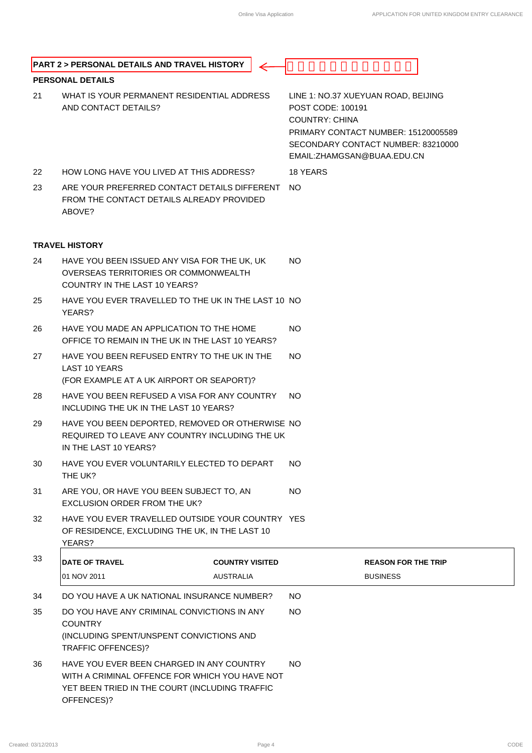|    | <b>PART 2 &gt; PERSONAL DETAILS AND TRAVEL HISTORY</b>                                                                                                      |                        |                                                                                                                                                                                               |  |
|----|-------------------------------------------------------------------------------------------------------------------------------------------------------------|------------------------|-----------------------------------------------------------------------------------------------------------------------------------------------------------------------------------------------|--|
|    | <b>PERSONAL DETAILS</b>                                                                                                                                     |                        |                                                                                                                                                                                               |  |
| 21 | WHAT IS YOUR PERMANENT RESIDENTIAL ADDRESS<br>AND CONTACT DETAILS?                                                                                          |                        | LINE 1: NO.37 XUEYUAN ROAD, BEIJING<br>POST CODE: 100191<br><b>COUNTRY: CHINA</b><br>PRIMARY CONTACT NUMBER: 15120005589<br>SECONDARY CONTACT NUMBER: 83210000<br>EMAIL: ZHAMGSAN@BUAA.EDU.CN |  |
| 22 | HOW LONG HAVE YOU LIVED AT THIS ADDRESS?                                                                                                                    |                        | 18 YEARS                                                                                                                                                                                      |  |
| 23 | ARE YOUR PREFERRED CONTACT DETAILS DIFFERENT<br>FROM THE CONTACT DETAILS ALREADY PROVIDED<br>ABOVE?                                                         |                        | NO.                                                                                                                                                                                           |  |
|    | <b>TRAVEL HISTORY</b>                                                                                                                                       |                        |                                                                                                                                                                                               |  |
| 24 | HAVE YOU BEEN ISSUED ANY VISA FOR THE UK, UK<br>OVERSEAS TERRITORIES OR COMMONWEALTH<br>COUNTRY IN THE LAST 10 YEARS?                                       |                        | NO.                                                                                                                                                                                           |  |
| 25 | HAVE YOU EVER TRAVELLED TO THE UK IN THE LAST 10 NO<br>YEARS?                                                                                               |                        |                                                                                                                                                                                               |  |
| 26 | HAVE YOU MADE AN APPLICATION TO THE HOME<br>OFFICE TO REMAIN IN THE UK IN THE LAST 10 YEARS?                                                                |                        | <b>NO</b>                                                                                                                                                                                     |  |
| 27 | HAVE YOU BEEN REFUSED ENTRY TO THE UK IN THE<br><b>LAST 10 YEARS</b><br>(FOR EXAMPLE AT A UK AIRPORT OR SEAPORT)?                                           |                        | NO.                                                                                                                                                                                           |  |
| 28 | HAVE YOU BEEN REFUSED A VISA FOR ANY COUNTRY<br>INCLUDING THE UK IN THE LAST 10 YEARS?                                                                      |                        | NO.                                                                                                                                                                                           |  |
| 29 | HAVE YOU BEEN DEPORTED, REMOVED OR OTHERWISE NO<br>REQUIRED TO LEAVE ANY COUNTRY INCLUDING THE UK<br>IN THE LAST 10 YEARS?                                  |                        |                                                                                                                                                                                               |  |
| 30 | HAVE YOU EVER VOLUNTARILY ELECTED TO DEPART<br>THE UK?                                                                                                      |                        | NO.                                                                                                                                                                                           |  |
| 31 | ARE YOU, OR HAVE YOU BEEN SUBJECT TO, AN<br><b>EXCLUSION ORDER FROM THE UK?</b>                                                                             |                        | NO.                                                                                                                                                                                           |  |
| 32 | HAVE YOU EVER TRAVELLED OUTSIDE YOUR COUNTRY YES<br>OF RESIDENCE, EXCLUDING THE UK, IN THE LAST 10<br>YEARS?                                                |                        |                                                                                                                                                                                               |  |
| 33 | <b>DATE OF TRAVEL</b>                                                                                                                                       | <b>COUNTRY VISITED</b> | <b>REASON FOR THE TRIP</b>                                                                                                                                                                    |  |
|    | 01 NOV 2011                                                                                                                                                 | <b>AUSTRALIA</b>       | <b>BUSINESS</b>                                                                                                                                                                               |  |
| 34 | DO YOU HAVE A UK NATIONAL INSURANCE NUMBER?                                                                                                                 |                        | <b>NO</b>                                                                                                                                                                                     |  |
| 35 | DO YOU HAVE ANY CRIMINAL CONVICTIONS IN ANY<br><b>COUNTRY</b><br>(INCLUDING SPENT/UNSPENT CONVICTIONS AND<br><b>TRAFFIC OFFENCES)?</b>                      |                        | <b>NO</b>                                                                                                                                                                                     |  |
| 36 | HAVE YOU EVER BEEN CHARGED IN ANY COUNTRY<br>WITH A CRIMINAL OFFENCE FOR WHICH YOU HAVE NOT<br>YET BEEN TRIED IN THE COURT (INCLUDING TRAFFIC<br>OFFENCES)? |                        | NO.                                                                                                                                                                                           |  |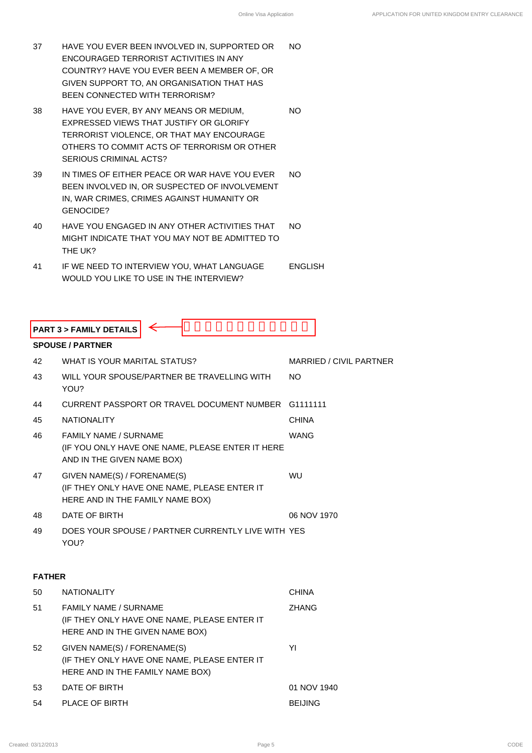- 37 HAVE YOU EVER BEEN INVOLVED IN, SUPPORTED OR ENCOURAGED TERRORIST ACTIVITIES IN ANY COUNTRY? HAVE YOU EVER BEEN A MEMBER OF, OR GIVEN SUPPORT TO, AN ORGANISATION THAT HAS BEEN CONNECTED WITH TERRORISM? NO
- 38 HAVE YOU EVER, BY ANY MEANS OR MEDIUM, EXPRESSED VIEWS THAT JUSTIFY OR GLORIFY TERRORIST VIOLENCE, OR THAT MAY ENCOURAGE OTHERS TO COMMIT ACTS OF TERRORISM OR OTHER SERIOUS CRIMINAL ACTS? NO
- 39 IN TIMES OF EITHER PEACE OR WAR HAVE YOU EVER BEEN INVOLVED IN, OR SUSPECTED OF INVOLVEMENT IN, WAR CRIMES, CRIMES AGAINST HUMANITY OR GENOCIDE? NO
- 40 HAVE YOU ENGAGED IN ANY OTHER ACTIVITIES THAT MIGHT INDICATE THAT YOU MAY NOT BE ADMITTED TO THE UK? NO
- 41 IF WE NEED TO INTERVIEW YOU, WHAT LANGUAGE WOULD YOU LIKE TO USE IN THE INTERVIEW? ENGLISH

|               | <b>SPOUSE / PARTNER</b>                                                                                         |                         |
|---------------|-----------------------------------------------------------------------------------------------------------------|-------------------------|
| 42            | WHAT IS YOUR MARITAL STATUS?                                                                                    | MARRIED / CIVIL PARTNER |
| 43            | WILL YOUR SPOUSE/PARTNER BE TRAVELLING WITH<br>YOU?                                                             | NO.                     |
| 44            | CURRENT PASSPORT OR TRAVEL DOCUMENT NUMBER                                                                      | G1111111                |
| 45            | <b>NATIONALITY</b>                                                                                              | <b>CHINA</b>            |
| 46            | FAMILY NAME / SURNAME<br>(IF YOU ONLY HAVE ONE NAME, PLEASE ENTER IT HERE<br>AND IN THE GIVEN NAME BOX)         | <b>WANG</b>             |
| 47            | GIVEN NAME(S) / FORENAME(S)<br>(IF THEY ONLY HAVE ONE NAME, PLEASE ENTER IT<br>HERE AND IN THE FAMILY NAME BOX) | WU                      |
| 48            | DATE OF BIRTH                                                                                                   | 06 NOV 1970             |
| 49            | DOES YOUR SPOUSE / PARTNER CURRENTLY LIVE WITH YES<br>YOU?                                                      |                         |
| <b>FATHER</b> |                                                                                                                 |                         |
| 50            | <b>NATIONALITY</b>                                                                                              | <b>CHINA</b>            |
| 51            | FAMILY NAME / SURNAME<br>(IF THEY ONLY HAVE ONE NAME, PLEASE ENTER IT                                           | <b>ZHANG</b>            |
|               | HERE AND IN THE GIVEN NAME BOX)                                                                                 |                         |
|               | GIVEN NAME(S) / FORENAME(S)<br>(IF THEY ONLY HAVE ONE NAME, PLEASE ENTER IT<br>HERE AND IN THE FAMILY NAME BOX) | YI                      |
| 52<br>53      | DATE OF BIRTH                                                                                                   | 01 NOV 1940             |

### **FATHER**

| 50 | <b>NATIONALITY</b>                                                                                              | <b>CHINA</b>   |
|----|-----------------------------------------------------------------------------------------------------------------|----------------|
| 51 | <b>FAMILY NAME / SURNAME</b><br>(IF THEY ONLY HAVE ONE NAME, PLEASE ENTER IT<br>HERE AND IN THE GIVEN NAME BOX) | <b>ZHANG</b>   |
| 52 | GIVEN NAME(S) / FORENAME(S)<br>(IF THEY ONLY HAVE ONE NAME, PLEASE ENTER IT<br>HERE AND IN THE FAMILY NAME BOX) | YI             |
| 53 | DATE OF BIRTH                                                                                                   | 01 NOV 1940    |
| 54 | PLACE OF BIRTH                                                                                                  | <b>BEIJING</b> |
|    |                                                                                                                 |                |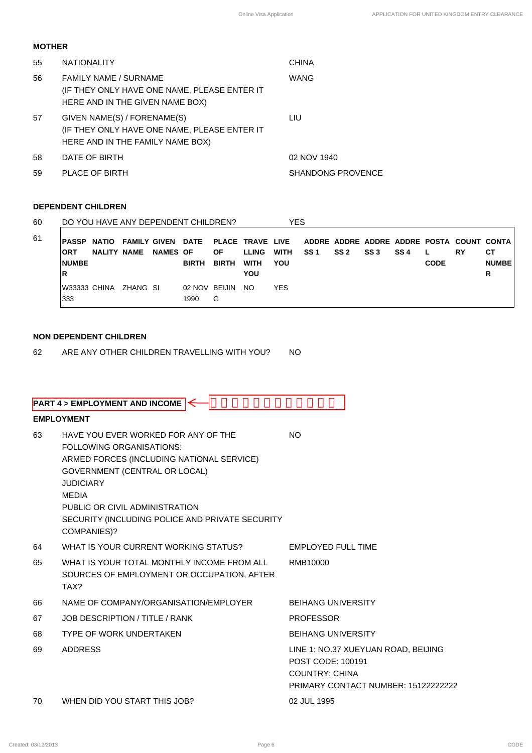### **MOTHER**

| 55 | <b>NATIONALITY</b>                                                                                              | <b>CHINA</b>             |
|----|-----------------------------------------------------------------------------------------------------------------|--------------------------|
| 56 | <b>FAMILY NAME / SURNAME</b><br>(IF THEY ONLY HAVE ONE NAME, PLEASE ENTER IT<br>HERE AND IN THE GIVEN NAME BOX) | <b>WANG</b>              |
| 57 | GIVEN NAME(S) / FORENAME(S)<br>(IF THEY ONLY HAVE ONE NAME, PLEASE ENTER IT<br>HERE AND IN THE FAMILY NAME BOX) | LIU                      |
| 58 | DATE OF BIRTH                                                                                                   | 02 NOV 1940              |
| 59 | PLACE OF BIRTH                                                                                                  | <b>SHANDONG PROVENCE</b> |

### **DEPENDENT CHILDREN**

| 60 |                     |                    | DO YOU HAVE ANY DEPENDENT CHILDREN? |                 |                       |              |              | YES        |                 |      |                 |      |             |                                                                              |              |
|----|---------------------|--------------------|-------------------------------------|-----------------|-----------------------|--------------|--------------|------------|-----------------|------|-----------------|------|-------------|------------------------------------------------------------------------------|--------------|
| 61 | <b>PASSP NATIO</b>  |                    |                                     |                 |                       |              |              |            |                 |      |                 |      |             | FAMILY GIVEN DATE PLACE TRAVE LIVE ADDRE ADDRE ADDRE ADDRE POSTA COUNT CONTA |              |
|    | <b>ORT</b>          | <b>NALITY NAME</b> |                                     | <b>NAMES OF</b> |                       | ОF           | <b>LLING</b> | WITH       | SS <sub>1</sub> | SS 2 | SS <sub>3</sub> | SS 4 |             | RY                                                                           | CТ           |
|    | <b>NUMBE</b>        |                    |                                     |                 | <b>BIRTH</b>          | <b>BIRTH</b> | WITH         | YOU        |                 |      |                 |      | <b>CODE</b> |                                                                              | <b>NUMBE</b> |
|    | R                   |                    |                                     |                 |                       |              | YOU          |            |                 |      |                 |      |             |                                                                              | R            |
|    | W33333 CHINA<br>333 |                    | ZHANG SI                            |                 | 02 NOV BEIJIN<br>1990 | G            | NO.          | <b>YES</b> |                 |      |                 |      |             |                                                                              |              |

### **NON DEPENDENT CHILDREN**

62 ARE ANY OTHER CHILDREN TRAVELLING WITH YOU? NO

|    | <b>PART 4 &gt; EMPLOYMENT AND INCOME</b>                                                                                                                                                                                                                                              |                                                                                                                          |
|----|---------------------------------------------------------------------------------------------------------------------------------------------------------------------------------------------------------------------------------------------------------------------------------------|--------------------------------------------------------------------------------------------------------------------------|
|    | <b>EMPLOYMENT</b>                                                                                                                                                                                                                                                                     |                                                                                                                          |
| 63 | HAVE YOU EVER WORKED FOR ANY OF THE<br>FOLLOWING ORGANISATIONS:<br>ARMED FORCES (INCLUDING NATIONAL SERVICE)<br>GOVERNMENT (CENTRAL OR LOCAL)<br><b>JUDICIARY</b><br><b>MEDIA</b><br>PUBLIC OR CIVIL ADMINISTRATION<br>SECURITY (INCLUDING POLICE AND PRIVATE SECURITY<br>COMPANIES)? | <b>NO</b>                                                                                                                |
| 64 | WHAT IS YOUR CURRENT WORKING STATUS?                                                                                                                                                                                                                                                  | <b>EMPLOYED FULL TIME</b>                                                                                                |
| 65 | WHAT IS YOUR TOTAL MONTHLY INCOME FROM ALL<br>SOURCES OF EMPLOYMENT OR OCCUPATION, AFTER<br>TAX?                                                                                                                                                                                      | RMB10000                                                                                                                 |
| 66 | NAME OF COMPANY/ORGANISATION/EMPLOYER                                                                                                                                                                                                                                                 | <b>BEIHANG UNIVERSITY</b>                                                                                                |
| 67 | JOB DESCRIPTION / TITLE / RANK                                                                                                                                                                                                                                                        | <b>PROFESSOR</b>                                                                                                         |
| 68 | <b>TYPE OF WORK UNDERTAKEN</b>                                                                                                                                                                                                                                                        | <b>BEIHANG UNIVERSITY</b>                                                                                                |
| 69 | <b>ADDRESS</b>                                                                                                                                                                                                                                                                        | LINE 1: NO.37 XUEYUAN ROAD, BEIJING<br>POST CODE: 100191<br><b>COUNTRY: CHINA</b><br>PRIMARY CONTACT NUMBER: 15122222222 |
| 70 | WHEN DID YOU START THIS JOB?                                                                                                                                                                                                                                                          | 02 JUL 1995                                                                                                              |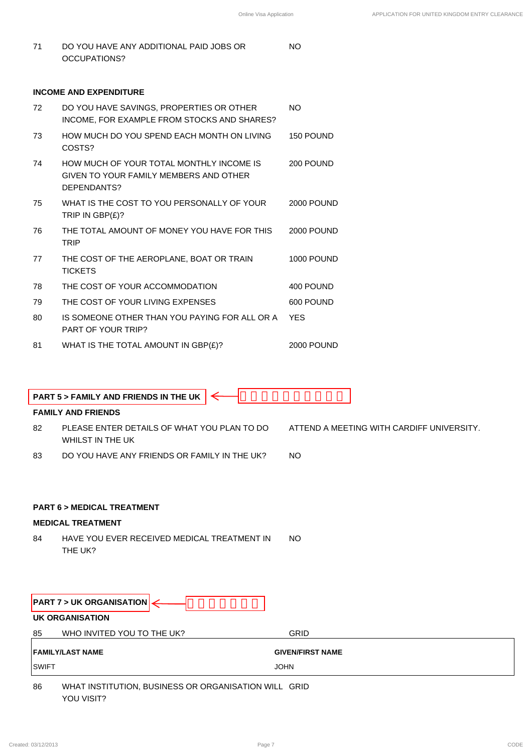NO

71 DO YOU HAVE ANY ADDITIONAL PAID JOBS OR OCCUPATIONS?

### **INCOME AND EXPENDITURE**

| 72 | DO YOU HAVE SAVINGS, PROPERTIES OR OTHER<br>INCOME, FOR EXAMPLE FROM STOCKS AND SHARES?           | NO.               |
|----|---------------------------------------------------------------------------------------------------|-------------------|
| 73 | HOW MUCH DO YOU SPEND EACH MONTH ON LIVING<br>COSTS?                                              | 150 POUND         |
| 74 | HOW MUCH OF YOUR TOTAL MONTHLY INCOME IS<br>GIVEN TO YOUR FAMILY MEMBERS AND OTHER<br>DEPENDANTS? | 200 POUND         |
| 75 | WHAT IS THE COST TO YOU PERSONALLY OF YOUR<br>TRIP IN $GBP(E)$ ?                                  | <b>2000 POUND</b> |
| 76 | THE TOTAL AMOUNT OF MONEY YOU HAVE FOR THIS<br><b>TRIP</b>                                        | <b>2000 POUND</b> |
| 77 | THE COST OF THE AEROPLANE, BOAT OR TRAIN<br><b>TICKETS</b>                                        | 1000 POUND        |
| 78 | THE COST OF YOUR ACCOMMODATION                                                                    | 400 POUND         |
| 79 | THE COST OF YOUR LIVING EXPENSES                                                                  | 600 POUND         |
| 80 | IS SOMEONE OTHER THAN YOU PAYING FOR ALL OR A<br>PART OF YOUR TRIP?                               | <b>YES</b>        |
| 81 | WHAT IS THE TOTAL AMOUNT IN GBP(£)?                                                               | <b>2000 POUND</b> |

|     | <b>PART 5 &gt; FAMILY AND FRIENDS IN THE UK <math>\left  \leftarrow \right </math></b> |                                           |
|-----|----------------------------------------------------------------------------------------|-------------------------------------------|
|     | <b>FAMILY AND FRIENDS</b>                                                              |                                           |
| -82 | PLEASE ENTER DETAILS OF WHAT YOU PLAN TO DO                                            | ATTEND A MEETING WITH CARDIFF UNIVERSITY. |

- WHILST IN THE UK
- 83 DO YOU HAVE ANY FRIENDS OR FAMILY IN THE UK? NO

### **PART 6 > MEDICAL TREATMENT**

### **MEDICAL TREATMENT**

84 HAVE YOU EVER RECEIVED MEDICAL TREATMENT IN THE UK? NO

| <b>UK ORGANISATION</b><br>WHO INVITED YOU TO THE UK?<br>85<br><b>GRID</b>         | PART 7 > UK ORGANISATION |  |
|-----------------------------------------------------------------------------------|--------------------------|--|
|                                                                                   |                          |  |
|                                                                                   |                          |  |
| <b>FAMILY/LAST NAME</b><br><b>GIVEN/FIRST NAME</b><br><b>SWIFT</b><br><b>JOHN</b> |                          |  |

86 WHAT INSTITUTION, BUSINESS OR ORGANISATION WILL GRID YOU VISIT?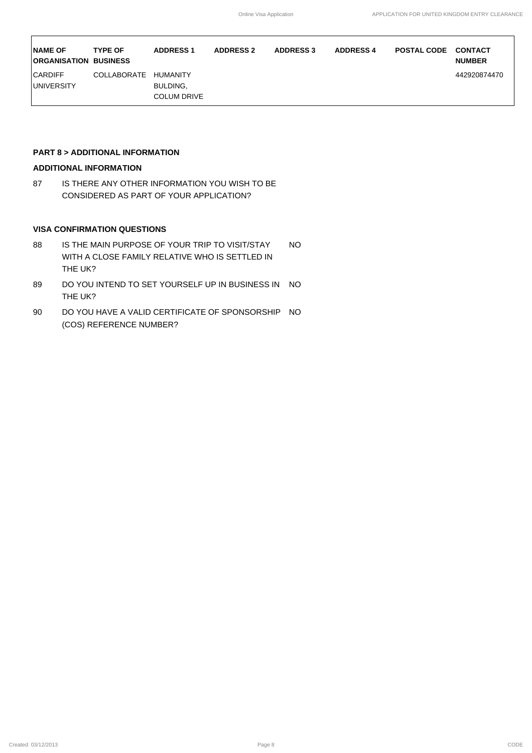| <b>NAME OF</b><br><b>ORGANISATION BUSINESS</b> | <b>TYPE OF</b>     | <b>ADDRESS 1</b>                                  | <b>ADDRESS 2</b> | <b>ADDRESS 3</b> | <b>ADDRESS 4</b> | <b>POSTAL CODE</b> | <b>CONTACT</b><br><b>NUMBER</b> |
|------------------------------------------------|--------------------|---------------------------------------------------|------------------|------------------|------------------|--------------------|---------------------------------|
| <b>CARDIFF</b><br><b>IUNIVERSITY</b>           | <b>COLLABORATE</b> | <b>HUMANITY</b><br>BULDING,<br><b>COLUM DRIVE</b> |                  |                  |                  |                    | 442920874470                    |

### **PART 8 > ADDITIONAL INFORMATION**

### **ADDITIONAL INFORMATION**

87 IS THERE ANY OTHER INFORMATION YOU WISH TO BE CONSIDERED AS PART OF YOUR APPLICATION?

### **VISA CONFIRMATION QUESTIONS**

- 88 IS THE MAIN PURPOSE OF YOUR TRIP TO VISIT/STAY WITH A CLOSE FAMILY RELATIVE WHO IS SETTLED IN THE UK? NO
- 89 DO YOU INTEND TO SET YOURSELF UP IN BUSINESS IN NO THE UK?
- 90 DO YOU HAVE A VALID CERTIFICATE OF SPONSORSHIP NO (COS) REFERENCE NUMBER?